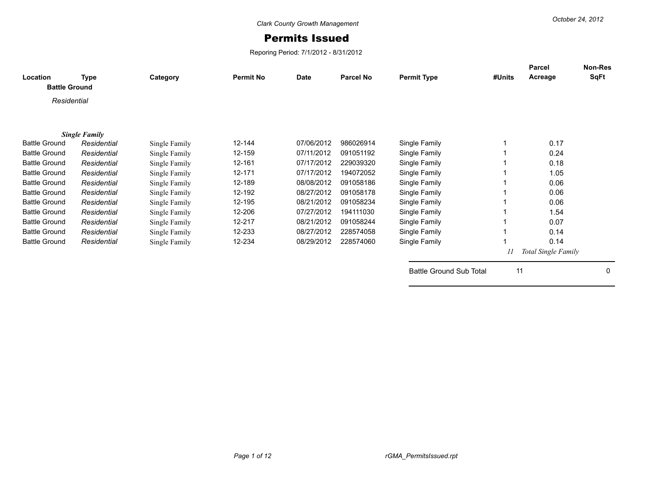## Permits Issued

Reporing Period: 7/1/2012 - 8/31/2012

| Location<br><b>Battle Ground</b> | Type                 | Category      | <b>Permit No</b> | <b>Date</b> | <b>Parcel No</b> | <b>Permit Type</b>             | #Units | Parcel<br>Acreage   | <b>Non-Res</b><br>SqFt |
|----------------------------------|----------------------|---------------|------------------|-------------|------------------|--------------------------------|--------|---------------------|------------------------|
| Residential                      |                      |               |                  |             |                  |                                |        |                     |                        |
|                                  |                      |               |                  |             |                  |                                |        |                     |                        |
|                                  | <b>Single Family</b> |               |                  |             |                  |                                |        |                     |                        |
| <b>Battle Ground</b>             | Residential          | Single Family | 12-144           | 07/06/2012  | 986026914        | Single Family                  |        | 0.17                |                        |
| <b>Battle Ground</b>             | Residential          | Single Family | 12-159           | 07/11/2012  | 091051192        | Single Family                  |        | 0.24                |                        |
| <b>Battle Ground</b>             | Residential          | Single Family | 12-161           | 07/17/2012  | 229039320        | Single Family                  |        | 0.18                |                        |
| <b>Battle Ground</b>             | Residential          | Single Family | 12-171           | 07/17/2012  | 194072052        | Single Family                  |        | 1.05                |                        |
| <b>Battle Ground</b>             | Residential          | Single Family | 12-189           | 08/08/2012  | 091058186        | Single Family                  |        | 0.06                |                        |
| <b>Battle Ground</b>             | Residential          | Single Family | 12-192           | 08/27/2012  | 091058178        | Single Family                  |        | 0.06                |                        |
| <b>Battle Ground</b>             | Residential          | Single Family | 12-195           | 08/21/2012  | 091058234        | Single Family                  |        | 0.06                |                        |
| <b>Battle Ground</b>             | Residential          | Single Family | 12-206           | 07/27/2012  | 194111030        | Single Family                  |        | 1.54                |                        |
| <b>Battle Ground</b>             | Residential          | Single Family | 12-217           | 08/21/2012  | 091058244        | Single Family                  |        | 0.07                |                        |
| <b>Battle Ground</b>             | Residential          | Single Family | 12-233           | 08/27/2012  | 228574058        | Single Family                  |        | 0.14                |                        |
| <b>Battle Ground</b>             | Residential          | Single Family | 12-234           | 08/29/2012  | 228574060        | Single Family                  |        | 0.14                |                        |
|                                  |                      |               |                  |             |                  |                                | 11     | Total Single Family |                        |
|                                  |                      |               |                  |             |                  | <b>Battle Ground Sub Total</b> | 11     |                     | 0                      |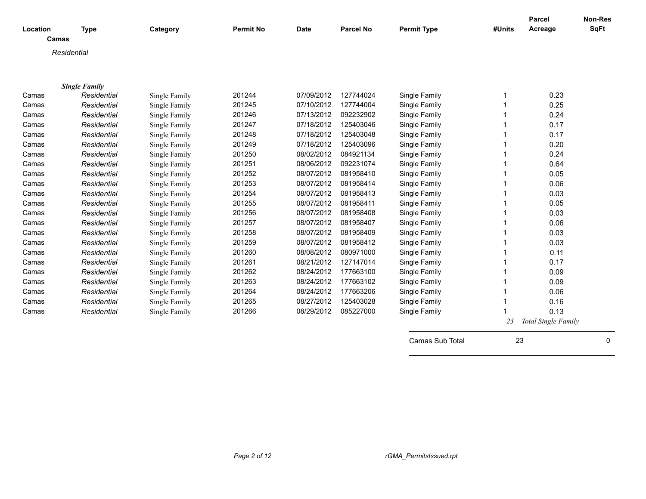| Location | <b>Type</b>          | Category      | <b>Permit No</b> | <b>Date</b> | <b>Parcel No</b> | <b>Permit Type</b> | #Units | <b>Parcel</b><br>Acreage | Non-Res<br><b>SqFt</b> |
|----------|----------------------|---------------|------------------|-------------|------------------|--------------------|--------|--------------------------|------------------------|
| Camas    |                      |               |                  |             |                  |                    |        |                          |                        |
|          | Residential          |               |                  |             |                  |                    |        |                          |                        |
|          |                      |               |                  |             |                  |                    |        |                          |                        |
|          |                      |               |                  |             |                  |                    |        |                          |                        |
|          | <b>Single Family</b> |               |                  |             |                  |                    |        |                          |                        |
| Camas    | Residential          | Single Family | 201244           | 07/09/2012  | 127744024        | Single Family      |        | 0.23                     |                        |
| Camas    | Residential          | Single Family | 201245           | 07/10/2012  | 127744004        | Single Family      |        | 0.25                     |                        |
| Camas    | Residential          | Single Family | 201246           | 07/13/2012  | 092232902        | Single Family      |        | 0.24                     |                        |
| Camas    | Residential          | Single Family | 201247           | 07/18/2012  | 125403046        | Single Family      |        | 0.17                     |                        |
| Camas    | Residential          | Single Family | 201248           | 07/18/2012  | 125403048        | Single Family      |        | 0.17                     |                        |
| Camas    | Residential          | Single Family | 201249           | 07/18/2012  | 125403096        | Single Family      |        | 0.20                     |                        |
| Camas    | Residential          | Single Family | 201250           | 08/02/2012  | 084921134        | Single Family      |        | 0.24                     |                        |
| Camas    | Residential          | Single Family | 201251           | 08/06/2012  | 092231074        | Single Family      |        | 0.64                     |                        |
| Camas    | Residential          | Single Family | 201252           | 08/07/2012  | 081958410        | Single Family      |        | 0.05                     |                        |
| Camas    | Residential          | Single Family | 201253           | 08/07/2012  | 081958414        | Single Family      |        | 0.06                     |                        |
| Camas    | Residential          | Single Family | 201254           | 08/07/2012  | 081958413        | Single Family      |        | 0.03                     |                        |
| Camas    | Residential          | Single Family | 201255           | 08/07/2012  | 081958411        | Single Family      |        | 0.05                     |                        |
| Camas    | Residential          | Single Family | 201256           | 08/07/2012  | 081958408        | Single Family      |        | 0.03                     |                        |
| Camas    | Residential          | Single Family | 201257           | 08/07/2012  | 081958407        | Single Family      |        | 0.06                     |                        |
| Camas    | Residential          | Single Family | 201258           | 08/07/2012  | 081958409        | Single Family      |        | 0.03                     |                        |
| Camas    | Residential          | Single Family | 201259           | 08/07/2012  | 081958412        | Single Family      |        | 0.03                     |                        |
| Camas    | Residential          | Single Family | 201260           | 08/08/2012  | 080971000        | Single Family      |        | 0.11                     |                        |
| Camas    | Residential          | Single Family | 201261           | 08/21/2012  | 127147014        | Single Family      |        | 0.17                     |                        |
| Camas    | Residential          | Single Family | 201262           | 08/24/2012  | 177663100        | Single Family      |        | 0.09                     |                        |
| Camas    | Residential          | Single Family | 201263           | 08/24/2012  | 177663102        | Single Family      |        | 0.09                     |                        |
| Camas    | Residential          | Single Family | 201264           | 08/24/2012  | 177663206        | Single Family      |        | 0.06                     |                        |
| Camas    | Residential          | Single Family | 201265           | 08/27/2012  | 125403028        | Single Family      |        | 0.16                     |                        |
| Camas    | Residential          | Single Family | 201266           | 08/29/2012  | 085227000        | Single Family      |        | 0.13                     |                        |
|          |                      |               |                  |             |                  |                    | 23     | Total Single Family      |                        |
|          |                      |               |                  |             |                  |                    | 23     |                          | $\mathbf 0$            |
|          |                      |               |                  |             |                  | Camas Sub Total    |        |                          |                        |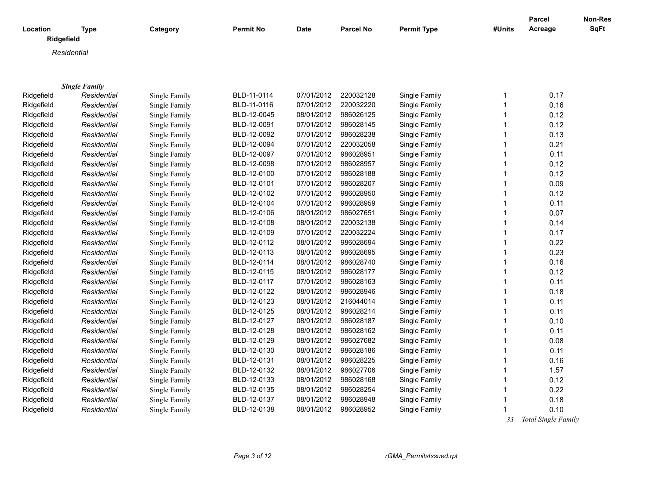| Location   | <b>Type</b>          | Category      | <b>Permit No</b> | <b>Date</b> | <b>Parcel No</b>       | <b>Permit Type</b> | #Units            | <b>Parcel</b><br>Acreage | Non-Res<br>SqFt |
|------------|----------------------|---------------|------------------|-------------|------------------------|--------------------|-------------------|--------------------------|-----------------|
|            | Ridgefield           |               |                  |             |                        |                    |                   |                          |                 |
|            | Residential          |               |                  |             |                        |                    |                   |                          |                 |
|            |                      |               |                  |             |                        |                    |                   |                          |                 |
|            |                      |               |                  |             |                        |                    |                   |                          |                 |
|            | <b>Single Family</b> |               |                  |             |                        |                    |                   |                          |                 |
| Ridgefield | Residential          | Single Family | BLD-11-0114      | 07/01/2012  | 220032128              | Single Family      | $\mathbf{1}$      | 0.17                     |                 |
| Ridgefield | Residential          | Single Family | BLD-11-0116      | 07/01/2012  | 220032220              | Single Family      | $\mathbf{1}$      | 0.16                     |                 |
| Ridgefield | Residential          | Single Family | BLD-12-0045      | 08/01/2012  | 986026125              | Single Family      | $\mathbf{1}$      | 0.12                     |                 |
| Ridgefield | Residential          | Single Family | BLD-12-0091      | 07/01/2012  | 986028145              | Single Family      | $\mathbf{1}$      | 0.12                     |                 |
| Ridgefield | Residential          | Single Family | BLD-12-0092      | 07/01/2012  | 986028238              | Single Family      | $\mathbf{1}$      | 0.13                     |                 |
| Ridgefield | Residential          | Single Family | BLD-12-0094      | 07/01/2012  | 220032058              | Single Family      | 1                 | 0.21                     |                 |
| Ridgefield | Residential          | Single Family | BLD-12-0097      | 07/01/2012  | 986028951              | Single Family      | $\mathbf{1}$      | 0.11                     |                 |
| Ridgefield | Residential          | Single Family | BLD-12-0098      | 07/01/2012  | 986028957              | Single Family      | $\mathbf 1$       | 0.12                     |                 |
| Ridgefield | Residential          | Single Family | BLD-12-0100      | 07/01/2012  | 986028188              | Single Family      | 1                 | 0.12                     |                 |
| Ridgefield | Residential          | Single Family | BLD-12-0101      | 07/01/2012  | 986028207              | Single Family      | $\mathbf 1$       | 0.09                     |                 |
| Ridgefield | Residential          | Single Family | BLD-12-0102      | 07/01/2012  | 986028950              | Single Family      | $\mathbf{1}$      | 0.12                     |                 |
| Ridgefield | Residential          | Single Family | BLD-12-0104      | 07/01/2012  | 986028959              | Single Family      | $\mathbf{1}$      | 0.11                     |                 |
| Ridgefield | Residential          | Single Family | BLD-12-0106      | 08/01/2012  | 986027651              | Single Family      | 1                 | 0.07                     |                 |
| Ridgefield | Residential          | Single Family | BLD-12-0108      | 08/01/2012  | 220032138              | Single Family      | $\mathbf{1}$      | 0.14                     |                 |
| Ridgefield | Residential          | Single Family | BLD-12-0109      | 07/01/2012  | 220032224              | Single Family      | 1                 | 0.17                     |                 |
| Ridgefield | Residential          | Single Family | BLD-12-0112      | 08/01/2012  | 986028694              | Single Family      | $\mathbf{1}$      | 0.22                     |                 |
| Ridgefield | Residential          | Single Family | BLD-12-0113      | 08/01/2012  | 986028695              | Single Family      | $\mathbf{1}$      | 0.23                     |                 |
| Ridgefield | Residential          | Single Family | BLD-12-0114      | 08/01/2012  | 986028740              | Single Family      | $\mathbf{1}$      | 0.16                     |                 |
| Ridgefield | Residential          | Single Family | BLD-12-0115      | 08/01/2012  | 986028177              | Single Family      | $\mathbf{1}$      | 0.12                     |                 |
| Ridgefield | Residential          | Single Family | BLD-12-0117      | 07/01/2012  | 986028163              | Single Family      | $\mathbf{1}$      | 0.11                     |                 |
| Ridgefield | Residential          | Single Family | BLD-12-0122      | 08/01/2012  | 986028946              | Single Family      | $\mathbf{1}$      | 0.18                     |                 |
| Ridgefield | Residential          | Single Family | BLD-12-0123      | 08/01/2012  | 216044014              | Single Family      | $\mathbf{1}$      | 0.11                     |                 |
| Ridgefield | Residential          | Single Family | BLD-12-0125      | 08/01/2012  | 986028214              | Single Family      | $\mathbf{1}$      | 0.11                     |                 |
| Ridgefield | Residential          | Single Family | BLD-12-0127      | 08/01/2012  | 986028187              | Single Family      | $\mathbf{1}$      | 0.10                     |                 |
| Ridgefield | Residential          | Single Family | BLD-12-0128      | 08/01/2012  | 986028162              | Single Family      | $\mathbf{1}$      | 0.11                     |                 |
| Ridgefield | Residential          | Single Family | BLD-12-0129      | 08/01/2012  | 986027682              | Single Family      | $\mathbf{1}$      | 0.08                     |                 |
| Ridgefield | Residential          | Single Family | BLD-12-0130      | 08/01/2012  | 986028186              | Single Family      | $\mathbf{1}$      | 0.11                     |                 |
| Ridgefield | Residential          |               | BLD-12-0131      | 08/01/2012  | 986028225              | Single Family      | $\mathbf{1}$      | 0.16                     |                 |
|            |                      | Single Family | BLD-12-0132      | 08/01/2012  | 986027706              | Single Family      | $\mathbf{1}$      |                          |                 |
| Ridgefield | Residential          | Single Family |                  |             |                        |                    | $\mathbf{1}$      | 1.57                     |                 |
| Ridgefield | Residential          | Single Family | BLD-12-0133      | 08/01/2012  | 986028168<br>986028254 | Single Family      |                   | 0.12                     |                 |
| Ridgefield | Residential          | Single Family | BLD-12-0135      | 08/01/2012  | 986028948              | Single Family      | 1<br>$\mathbf{1}$ | 0.22                     |                 |
| Ridgefield | Residential          | Single Family | BLD-12-0137      | 08/01/2012  |                        | Single Family      |                   | 0.18                     |                 |
| Ridgefield | Residential          | Single Family | BLD-12-0138      | 08/01/2012  | 986028952              | Single Family      | 1                 | 0.10                     |                 |

 *33 Total Single Family*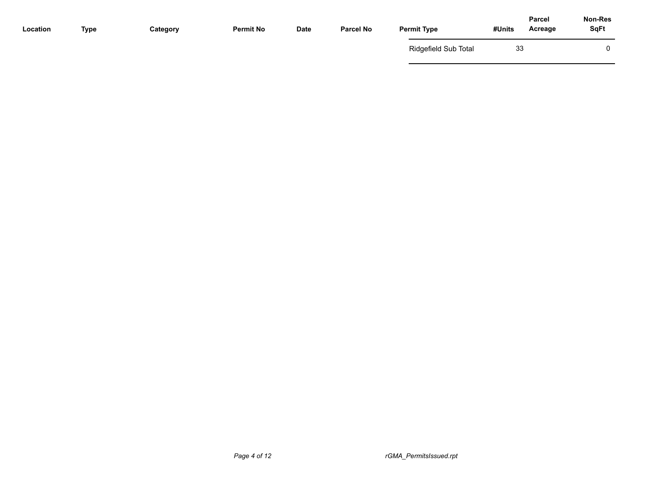| Location | <b>Type</b> | Category | <b>Permit No</b> | Date | <b>Parcel No</b> | <b>Permit Type</b>   | Parcel<br>#Units<br>Acreage | Non-Res<br><b>SqFt</b> |
|----------|-------------|----------|------------------|------|------------------|----------------------|-----------------------------|------------------------|
|          |             |          |                  |      |                  | Ridgefield Sub Total | 33                          | 0                      |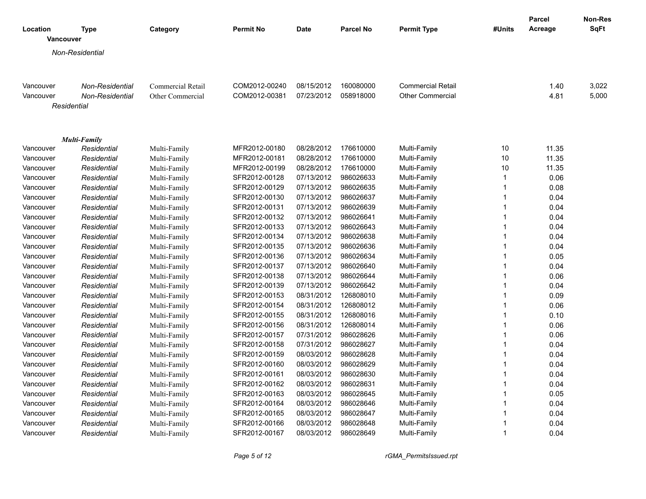|           |                          |                          |                  |             |                  |                          |              | Parcel  | Non-Res     |
|-----------|--------------------------|--------------------------|------------------|-------------|------------------|--------------------------|--------------|---------|-------------|
| Location  | <b>Type</b><br>Vancouver | Category                 | <b>Permit No</b> | <b>Date</b> | <b>Parcel No</b> | <b>Permit Type</b>       | #Units       | Acreage | <b>SqFt</b> |
|           | Non-Residential          |                          |                  |             |                  |                          |              |         |             |
|           |                          |                          |                  |             |                  |                          |              |         |             |
|           |                          |                          |                  |             |                  |                          |              |         |             |
| Vancouver | <b>Non-Residential</b>   | <b>Commercial Retail</b> | COM2012-00240    | 08/15/2012  | 160080000        | <b>Commercial Retail</b> |              | 1.40    | 3,022       |
| Vancouver | Non-Residential          | Other Commercial         | COM2012-00381    | 07/23/2012  | 058918000        | <b>Other Commercial</b>  |              | 4.81    | 5,000       |
|           | Residential              |                          |                  |             |                  |                          |              |         |             |
|           |                          |                          |                  |             |                  |                          |              |         |             |
|           | Multi-Family             |                          |                  |             |                  |                          |              |         |             |
| Vancouver | Residential              | Multi-Family             | MFR2012-00180    | 08/28/2012  | 176610000        | Multi-Family             | 10           | 11.35   |             |
| Vancouver | Residential              | Multi-Family             | MFR2012-00181    | 08/28/2012  | 176610000        | Multi-Family             | 10           | 11.35   |             |
| Vancouver | Residential              | Multi-Family             | MFR2012-00199    | 08/28/2012  | 176610000        | Multi-Family             | 10           | 11.35   |             |
| Vancouver | Residential              | Multi-Family             | SFR2012-00128    | 07/13/2012  | 986026633        | Multi-Family             | $\mathbf{1}$ | 0.06    |             |
| Vancouver | Residential              | Multi-Family             | SFR2012-00129    | 07/13/2012  | 986026635        | Multi-Family             | $\mathbf{1}$ | 0.08    |             |
| Vancouver | Residential              | Multi-Family             | SFR2012-00130    | 07/13/2012  | 986026637        | Multi-Family             | $\mathbf{1}$ | 0.04    |             |
| Vancouver | Residential              | Multi-Family             | SFR2012-00131    | 07/13/2012  | 986026639        | Multi-Family             | $\mathbf{1}$ | 0.04    |             |
| Vancouver | Residential              | Multi-Family             | SFR2012-00132    | 07/13/2012  | 986026641        | Multi-Family             | $\mathbf{1}$ | 0.04    |             |
| Vancouver | Residential              | Multi-Family             | SFR2012-00133    | 07/13/2012  | 986026643        | Multi-Family             | $\mathbf{1}$ | 0.04    |             |
| Vancouver | Residential              | Multi-Family             | SFR2012-00134    | 07/13/2012  | 986026638        | Multi-Family             | $\mathbf{1}$ | 0.04    |             |
| Vancouver | Residential              | Multi-Family             | SFR2012-00135    | 07/13/2012  | 986026636        | Multi-Family             | 1            | 0.04    |             |
| Vancouver | Residential              | Multi-Family             | SFR2012-00136    | 07/13/2012  | 986026634        | Multi-Family             | $\mathbf{1}$ | 0.05    |             |
| Vancouver | Residential              | Multi-Family             | SFR2012-00137    | 07/13/2012  | 986026640        | Multi-Family             | 1            | 0.04    |             |
| Vancouver | Residential              | Multi-Family             | SFR2012-00138    | 07/13/2012  | 986026644        | Multi-Family             | $\mathbf{1}$ | 0.06    |             |
| Vancouver | Residential              | Multi-Family             | SFR2012-00139    | 07/13/2012  | 986026642        | Multi-Family             | $\mathbf{1}$ | 0.04    |             |
| Vancouver | Residential              | Multi-Family             | SFR2012-00153    | 08/31/2012  | 126808010        | Multi-Family             | $\mathbf{1}$ | 0.09    |             |
| Vancouver | Residential              | Multi-Family             | SFR2012-00154    | 08/31/2012  | 126808012        | Multi-Family             | $\mathbf{1}$ | 0.06    |             |
| Vancouver | Residential              | Multi-Family             | SFR2012-00155    | 08/31/2012  | 126808016        | Multi-Family             | $\mathbf{1}$ | 0.10    |             |
| Vancouver | Residential              | Multi-Family             | SFR2012-00156    | 08/31/2012  | 126808014        | Multi-Family             | $\mathbf{1}$ | 0.06    |             |
| Vancouver | Residential              | Multi-Family             | SFR2012-00157    | 07/31/2012  | 986028626        | Multi-Family             | $\mathbf{1}$ | 0.06    |             |
| Vancouver | Residential              | Multi-Family             | SFR2012-00158    | 07/31/2012  | 986028627        | Multi-Family             | $\mathbf{1}$ | 0.04    |             |
| Vancouver | Residential              | Multi-Family             | SFR2012-00159    | 08/03/2012  | 986028628        | Multi-Family             | $\mathbf{1}$ | 0.04    |             |
| Vancouver | Residential              | Multi-Family             | SFR2012-00160    | 08/03/2012  | 986028629        | Multi-Family             | $\mathbf{1}$ | 0.04    |             |
| Vancouver | Residential              | Multi-Family             | SFR2012-00161    | 08/03/2012  | 986028630        | Multi-Family             | $\mathbf{1}$ | 0.04    |             |
| Vancouver | Residential              | Multi-Family             | SFR2012-00162    | 08/03/2012  | 986028631        | Multi-Family             | $\mathbf{1}$ | 0.04    |             |
| Vancouver | Residential              | Multi-Family             | SFR2012-00163    | 08/03/2012  | 986028645        | Multi-Family             | $\mathbf{1}$ | 0.05    |             |
| Vancouver | Residential              | Multi-Family             | SFR2012-00164    | 08/03/2012  | 986028646        | Multi-Family             | $\mathbf{1}$ | 0.04    |             |
| Vancouver | Residential              | Multi-Family             | SFR2012-00165    | 08/03/2012  | 986028647        | Multi-Family             | $\mathbf{1}$ | 0.04    |             |
| Vancouver | Residential              | Multi-Family             | SFR2012-00166    | 08/03/2012  | 986028648        | Multi-Family             | 1            | 0.04    |             |
| Vancouver | Residential              | Multi-Family             | SFR2012-00167    | 08/03/2012  | 986028649        | Multi-Family             | $\mathbf{1}$ | 0.04    |             |

*Page 5 of 12 rGMA\_PermitsIssued.rpt*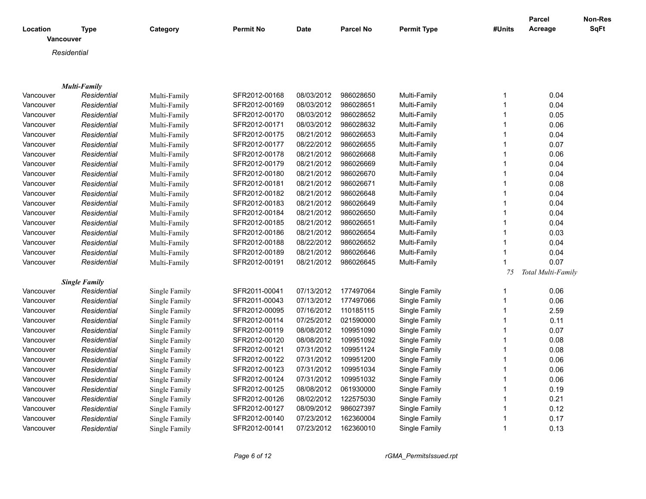| Location         | Type                 | Category      | <b>Permit No</b> | <b>Date</b> | <b>Parcel No</b> | <b>Permit Type</b> | #Units                       | <b>Parcel</b><br>Acreage | <b>Non-Res</b><br>SqFt |
|------------------|----------------------|---------------|------------------|-------------|------------------|--------------------|------------------------------|--------------------------|------------------------|
| <b>Vancouver</b> |                      |               |                  |             |                  |                    |                              |                          |                        |
|                  | Residential          |               |                  |             |                  |                    |                              |                          |                        |
|                  |                      |               |                  |             |                  |                    |                              |                          |                        |
|                  |                      |               |                  |             |                  |                    |                              |                          |                        |
|                  | <b>Multi-Family</b>  |               |                  |             |                  |                    |                              |                          |                        |
| Vancouver        | Residential          | Multi-Family  | SFR2012-00168    | 08/03/2012  | 986028650        | Multi-Family       | 1                            | 0.04                     |                        |
| Vancouver        | Residential          | Multi-Family  | SFR2012-00169    | 08/03/2012  | 986028651        | Multi-Family       | $\mathbf{1}$<br>$\mathbf{1}$ | 0.04                     |                        |
| Vancouver        | Residential          | Multi-Family  | SFR2012-00170    | 08/03/2012  | 986028652        | Multi-Family       |                              | 0.05                     |                        |
| Vancouver        | Residential          | Multi-Family  | SFR2012-00171    | 08/03/2012  | 986028632        | Multi-Family       | 1                            | 0.06                     |                        |
| Vancouver        | Residential          | Multi-Family  | SFR2012-00175    | 08/21/2012  | 986026653        | Multi-Family       |                              | 0.04                     |                        |
| Vancouver        | Residential          | Multi-Family  | SFR2012-00177    | 08/22/2012  | 986026655        | Multi-Family       | 1                            | 0.07                     |                        |
| Vancouver        | Residential          | Multi-Family  | SFR2012-00178    | 08/21/2012  | 986026668        | Multi-Family       |                              | 0.06                     |                        |
| Vancouver        | Residential          | Multi-Family  | SFR2012-00179    | 08/21/2012  | 986026669        | Multi-Family       | 1                            | 0.04                     |                        |
| Vancouver        | Residential          | Multi-Family  | SFR2012-00180    | 08/21/2012  | 986026670        | Multi-Family       | 1                            | 0.04                     |                        |
| Vancouver        | Residential          | Multi-Family  | SFR2012-00181    | 08/21/2012  | 986026671        | Multi-Family       | $\mathbf{1}$                 | 0.08                     |                        |
| Vancouver        | Residential          | Multi-Family  | SFR2012-00182    | 08/21/2012  | 986026648        | Multi-Family       | $\mathbf{1}$                 | 0.04                     |                        |
| Vancouver        | Residential          | Multi-Family  | SFR2012-00183    | 08/21/2012  | 986026649        | Multi-Family       | 1                            | 0.04                     |                        |
| Vancouver        | Residential          | Multi-Family  | SFR2012-00184    | 08/21/2012  | 986026650        | Multi-Family       | 1                            | 0.04                     |                        |
| Vancouver        | Residential          | Multi-Family  | SFR2012-00185    | 08/21/2012  | 986026651        | Multi-Family       | 1                            | 0.04                     |                        |
| Vancouver        | Residential          | Multi-Family  | SFR2012-00186    | 08/21/2012  | 986026654        | Multi-Family       | $\mathbf{1}$                 | 0.03                     |                        |
| Vancouver        | Residential          | Multi-Family  | SFR2012-00188    | 08/22/2012  | 986026652        | Multi-Family       | 1                            | 0.04                     |                        |
| Vancouver        | Residential          | Multi-Family  | SFR2012-00189    | 08/21/2012  | 986026646        | Multi-Family       | $\mathbf{1}$                 | 0.04                     |                        |
| Vancouver        | Residential          | Multi-Family  | SFR2012-00191    | 08/21/2012  | 986026645        | Multi-Family       | 1                            | 0.07                     |                        |
|                  |                      |               |                  |             |                  |                    | 75                           | Total Multi-Family       |                        |
|                  | <b>Single Family</b> |               |                  |             |                  |                    |                              |                          |                        |
| Vancouver        | Residential          | Single Family | SFR2011-00041    | 07/13/2012  | 177497064        | Single Family      | 1                            | 0.06                     |                        |
| Vancouver        | Residential          | Single Family | SFR2011-00043    | 07/13/2012  | 177497066        | Single Family      | 1                            | 0.06                     |                        |
| Vancouver        | Residential          | Single Family | SFR2012-00095    | 07/16/2012  | 110185115        | Single Family      | 1                            | 2.59                     |                        |
| Vancouver        | Residential          | Single Family | SFR2012-00114    | 07/25/2012  | 021590000        | Single Family      |                              | 0.11                     |                        |
| Vancouver        | Residential          | Single Family | SFR2012-00119    | 08/08/2012  | 109951090        | Single Family      | 1                            | 0.07                     |                        |
| Vancouver        | Residential          | Single Family | SFR2012-00120    | 08/08/2012  | 109951092        | Single Family      |                              | 0.08                     |                        |
| Vancouver        | Residential          | Single Family | SFR2012-00121    | 07/31/2012  | 109951124        | Single Family      | 1                            | 0.08                     |                        |
| Vancouver        | Residential          | Single Family | SFR2012-00122    | 07/31/2012  | 109951200        | Single Family      | 1                            | 0.06                     |                        |
| Vancouver        | Residential          | Single Family | SFR2012-00123    | 07/31/2012  | 109951034        | Single Family      | 1                            | 0.06                     |                        |
| Vancouver        | Residential          | Single Family | SFR2012-00124    | 07/31/2012  | 109951032        | Single Family      | 1                            | 0.06                     |                        |
| Vancouver        | Residential          | Single Family | SFR2012-00125    | 08/08/2012  | 061930000        | Single Family      | 1                            | 0.19                     |                        |
| Vancouver        | Residential          | Single Family | SFR2012-00126    | 08/02/2012  | 122575030        | Single Family      | $\mathbf{1}$                 | 0.21                     |                        |
| Vancouver        | Residential          | Single Family | SFR2012-00127    | 08/09/2012  | 986027397        | Single Family      | 1                            | 0.12                     |                        |
| Vancouver        | Residential          | Single Family | SFR2012-00140    | 07/23/2012  | 162360004        | Single Family      | 1                            | 0.17                     |                        |
| Vancouver        | Residential          | Single Family | SFR2012-00141    | 07/23/2012  | 162360010        | Single Family      | 1                            | 0.13                     |                        |
|                  |                      |               |                  |             |                  |                    |                              |                          |                        |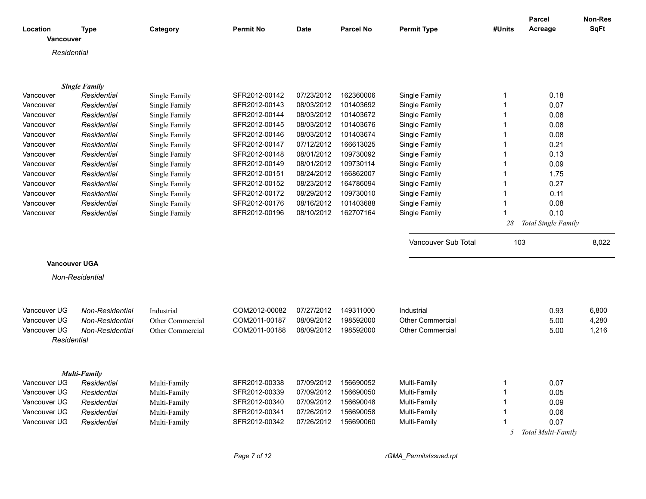| Location<br><b>Vancouver</b> | <b>Type</b>          | Category         | <b>Permit No</b>               | <b>Date</b> | <b>Parcel No</b> | <b>Permit Type</b>      | #Units | Parcel<br>Acreage          | <b>Non-Res</b><br><b>SqFt</b> |
|------------------------------|----------------------|------------------|--------------------------------|-------------|------------------|-------------------------|--------|----------------------------|-------------------------------|
| Residential                  |                      |                  |                                |             |                  |                         |        |                            |                               |
|                              |                      |                  |                                |             |                  |                         |        |                            |                               |
|                              |                      |                  |                                |             |                  |                         |        |                            |                               |
|                              | <b>Single Family</b> |                  |                                |             |                  |                         |        |                            |                               |
| Vancouver                    | Residential          | Single Family    | SFR2012-00142                  | 07/23/2012  | 162360006        | Single Family           | 1      | 0.18                       |                               |
| Vancouver                    | Residential          | Single Family    | SFR2012-00143                  | 08/03/2012  | 101403692        | Single Family           |        | 0.07                       |                               |
| Vancouver                    | Residential          | Single Family    | SFR2012-00144                  | 08/03/2012  | 101403672        | Single Family           |        | 0.08                       |                               |
| Vancouver                    | Residential          | Single Family    | SFR2012-00145                  | 08/03/2012  | 101403676        | Single Family           |        | 0.08                       |                               |
| Vancouver                    | Residential          | Single Family    | SFR2012-00146                  | 08/03/2012  | 101403674        | Single Family           |        | 0.08                       |                               |
| Vancouver                    | Residential          | Single Family    | SFR2012-00147                  | 07/12/2012  | 166613025        | Single Family           |        | 0.21                       |                               |
| Vancouver                    | Residential          | Single Family    | SFR2012-00148                  | 08/01/2012  | 109730092        | Single Family           |        | 0.13                       |                               |
| Vancouver                    | Residential          | Single Family    | SFR2012-00149                  | 08/01/2012  | 109730114        | Single Family           | 1      | 0.09                       |                               |
| Vancouver                    | Residential          | Single Family    | SFR2012-00151                  | 08/24/2012  | 166862007        | Single Family           |        | 1.75                       |                               |
| Vancouver                    | Residential          | Single Family    | SFR2012-00152                  | 08/23/2012  | 164786094        | Single Family           | 1      | 0.27                       |                               |
| Vancouver                    | Residential          | Single Family    | SFR2012-00172                  | 08/29/2012  | 109730010        | Single Family           |        | 0.11                       |                               |
| Vancouver                    | Residential          | Single Family    | SFR2012-00176                  | 08/16/2012  | 101403688        | Single Family           |        | 0.08                       |                               |
| Vancouver                    | Residential          | Single Family    | SFR2012-00196                  | 08/10/2012  | 162707164        | Single Family           |        | 0.10                       |                               |
|                              |                      |                  |                                |             |                  |                         | 28     | Total Single Family        |                               |
|                              |                      |                  |                                |             |                  | Vancouver Sub Total     | 103    |                            | 8,022                         |
|                              |                      |                  |                                |             |                  |                         |        |                            |                               |
| <b>Vancouver UGA</b>         |                      |                  |                                |             |                  |                         |        |                            |                               |
|                              | Non-Residential      |                  |                                |             |                  |                         |        |                            |                               |
|                              |                      |                  |                                |             |                  |                         |        |                            |                               |
|                              |                      |                  |                                |             |                  |                         |        |                            |                               |
| Vancouver UG                 | Non-Residential      | Industrial       | COM2012-00082                  | 07/27/2012  | 149311000        | Industrial              |        | 0.93                       | 6,800                         |
| Vancouver UG                 | Non-Residential      | Other Commercial | COM2011-00187                  | 08/09/2012  | 198592000        | <b>Other Commercial</b> |        | 5.00                       | 4,280                         |
| Vancouver UG                 | Non-Residential      | Other Commercial | COM2011-00188                  | 08/09/2012  | 198592000        | <b>Other Commercial</b> |        | 5.00                       | 1,216                         |
| Residential                  |                      |                  |                                |             |                  |                         |        |                            |                               |
|                              |                      |                  |                                |             |                  |                         |        |                            |                               |
|                              | <b>Multi-Family</b>  |                  |                                |             |                  |                         |        |                            |                               |
| Vancouver UG                 | Residential          | Multi-Family     | SFR2012-00338                  | 07/09/2012  | 156690052        | Multi-Family            |        | 0.07                       |                               |
| Vancouver UG                 |                      |                  |                                | 07/09/2012  | 156690050        | Multi-Family            |        | 0.05                       |                               |
|                              |                      |                  |                                |             |                  |                         |        |                            |                               |
| Vancouver UG                 | Residential          | Multi-Family     | SFR2012-00339<br>SFR2012-00340 | 07/09/2012  |                  | Multi-Family            |        |                            |                               |
|                              | Residential          | Multi-Family     | SFR2012-00341                  |             | 156690048        |                         |        | 0.09                       |                               |
| Vancouver UG                 | Residential          | Multi-Family     |                                | 07/26/2012  | 156690058        | Multi-Family            |        | 0.06                       |                               |
| Vancouver UG                 | Residential          | Multi-Family     | SFR2012-00342                  | 07/26/2012  | 156690060        | Multi-Family            | 5      | 0.07<br>Total Multi-Family |                               |

*Page 7 of 12 rGMA\_PermitsIssued.rpt*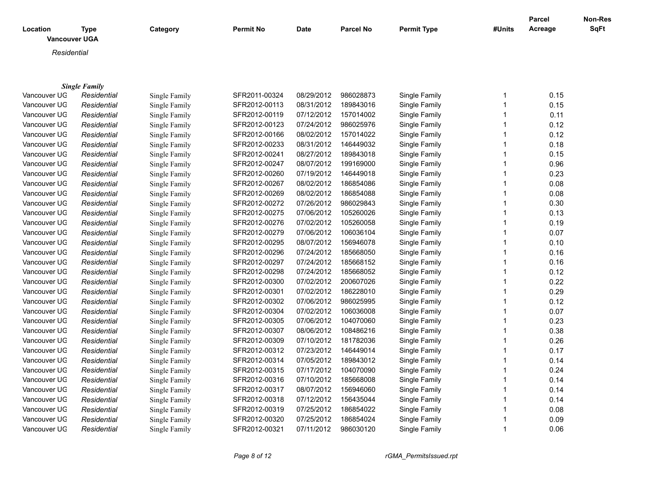| Location<br><b>Vancouver UGA</b> | <b>Type</b>          | Category      | <b>Permit No</b> | Date       | <b>Parcel No</b> | <b>Permit Type</b> | #Units       | <b>Parcel</b><br>Acreage | Non-Res<br>SqFt |
|----------------------------------|----------------------|---------------|------------------|------------|------------------|--------------------|--------------|--------------------------|-----------------|
| Residential                      |                      |               |                  |            |                  |                    |              |                          |                 |
|                                  |                      |               |                  |            |                  |                    |              |                          |                 |
|                                  | <b>Single Family</b> |               |                  |            |                  |                    |              |                          |                 |
| Vancouver UG                     | Residential          | Single Family | SFR2011-00324    | 08/29/2012 | 986028873        | Single Family      | 1            | 0.15                     |                 |
| Vancouver UG                     | Residential          | Single Family | SFR2012-00113    | 08/31/2012 | 189843016        | Single Family      | 1            | 0.15                     |                 |
| Vancouver UG                     | Residential          | Single Family | SFR2012-00119    | 07/12/2012 | 157014002        | Single Family      | 1            | 0.11                     |                 |
| Vancouver UG                     | Residential          | Single Family | SFR2012-00123    | 07/24/2012 | 986025976        | Single Family      |              | 0.12                     |                 |
| Vancouver UG                     | Residential          | Single Family | SFR2012-00166    | 08/02/2012 | 157014022        | Single Family      | 1            | 0.12                     |                 |
| Vancouver UG                     | Residential          | Single Family | SFR2012-00233    | 08/31/2012 | 146449032        | Single Family      | 1            | 0.18                     |                 |
| Vancouver UG                     | Residential          | Single Family | SFR2012-00241    | 08/27/2012 | 189843018        | Single Family      |              | 0.15                     |                 |
| Vancouver UG                     | Residential          | Single Family | SFR2012-00247    | 08/07/2012 | 199169000        | Single Family      | 1            | 0.96                     |                 |
| Vancouver UG                     | Residential          | Single Family | SFR2012-00260    | 07/19/2012 | 146449018        | Single Family      | 1            | 0.23                     |                 |
| Vancouver UG                     | Residential          | Single Family | SFR2012-00267    | 08/02/2012 | 186854086        | Single Family      | 1            | 0.08                     |                 |
| Vancouver UG                     | Residential          | Single Family | SFR2012-00269    | 08/02/2012 | 186854088        | Single Family      | 1            | 0.08                     |                 |
| Vancouver UG                     | Residential          | Single Family | SFR2012-00272    | 07/26/2012 | 986029843        | Single Family      | 1            | 0.30                     |                 |
| Vancouver UG                     | Residential          | Single Family | SFR2012-00275    | 07/06/2012 | 105260026        | Single Family      | $\mathbf{1}$ | 0.13                     |                 |
| Vancouver UG                     | Residential          | Single Family | SFR2012-00276    | 07/02/2012 | 105260058        | Single Family      | 1            | 0.19                     |                 |
| Vancouver UG                     | Residential          | Single Family | SFR2012-00279    | 07/06/2012 | 106036104        | Single Family      | 1            | 0.07                     |                 |
| Vancouver UG                     | Residential          | Single Family | SFR2012-00295    | 08/07/2012 | 156946078        | Single Family      | 1            | 0.10                     |                 |
| Vancouver UG                     | Residential          | Single Family | SFR2012-00296    | 07/24/2012 | 185668050        | Single Family      | 1            | 0.16                     |                 |
| Vancouver UG                     | Residential          | Single Family | SFR2012-00297    | 07/24/2012 | 185668152        | Single Family      | 1            | 0.16                     |                 |
| Vancouver UG                     | Residential          | Single Family | SFR2012-00298    | 07/24/2012 | 185668052        | Single Family      | 1            | 0.12                     |                 |
| Vancouver UG                     | Residential          | Single Family | SFR2012-00300    | 07/02/2012 | 200607026        | Single Family      |              | 0.22                     |                 |
| Vancouver UG                     | Residential          | Single Family | SFR2012-00301    | 07/02/2012 | 186228010        | Single Family      | 1            | 0.29                     |                 |
| Vancouver UG                     | Residential          | Single Family | SFR2012-00302    | 07/06/2012 | 986025995        | Single Family      | 1            | 0.12                     |                 |
| Vancouver UG                     | Residential          | Single Family | SFR2012-00304    | 07/02/2012 | 106036008        | Single Family      |              | 0.07                     |                 |
| Vancouver UG                     | Residential          | Single Family | SFR2012-00305    | 07/06/2012 | 104070060        | Single Family      | 1            | 0.23                     |                 |
| Vancouver UG                     | Residential          | Single Family | SFR2012-00307    | 08/06/2012 | 108486216        | Single Family      | 1            | 0.38                     |                 |
| Vancouver UG                     | Residential          | Single Family | SFR2012-00309    | 07/10/2012 | 181782036        | Single Family      | 1            | 0.26                     |                 |
| Vancouver UG                     | Residential          | Single Family | SFR2012-00312    | 07/23/2012 | 146449014        | Single Family      | 1            | 0.17                     |                 |
| Vancouver UG                     | Residential          | Single Family | SFR2012-00314    | 07/05/2012 | 189843012        | Single Family      | 1            | 0.14                     |                 |
| Vancouver UG                     | Residential          | Single Family | SFR2012-00315    | 07/17/2012 | 104070090        | Single Family      | 1            | 0.24                     |                 |
| Vancouver UG                     | Residential          | Single Family | SFR2012-00316    | 07/10/2012 | 185668008        | Single Family      | 1            | 0.14                     |                 |
| Vancouver UG                     | Residential          | Single Family | SFR2012-00317    | 08/07/2012 | 156946060        | Single Family      |              | 0.14                     |                 |
| Vancouver UG                     | Residential          | Single Family | SFR2012-00318    | 07/12/2012 | 156435044        | Single Family      | $\mathbf{1}$ | 0.14                     |                 |

Vancouver UGA *Residential* Single Family SFR2012-00319 07/25/2012 186854022 Single Family 1 0.08 Vancouver UGA *Residential* Single Family SFR2012-00320 07/25/2012 186854024 Single Family 1 0.09 Vancouver UG *Residential* Single Family SFR2012-00321 07/11/2012 986030120 Single Family 1 0.06

*Page 8 of 12 rGMA\_PermitsIssued.rpt*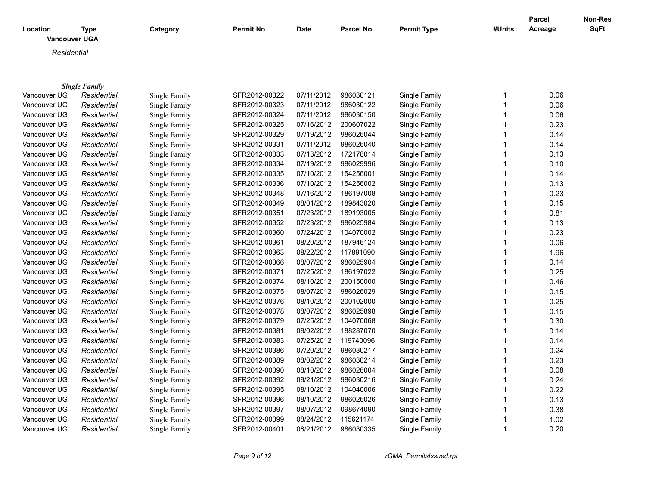| Location          | <b>Type</b><br><b>Vancouver UGA</b> | Category      | <b>Permit No</b> | <b>Date</b> | <b>Parcel No</b> | <b>Permit Type</b>                 | #Units | Parcel<br>Acreage | <b>Non-Res</b><br>SqFt |
|-------------------|-------------------------------------|---------------|------------------|-------------|------------------|------------------------------------|--------|-------------------|------------------------|
|                   | Residential                         |               |                  |             |                  |                                    |        |                   |                        |
|                   |                                     |               |                  |             |                  |                                    |        |                   |                        |
|                   | <b>Single Family</b>                |               |                  |             |                  |                                    |        |                   |                        |
| Vancouver UG      | Residential                         | Single Family | SFR2012-00322    | 07/11/2012  | 986030121        | Single Family                      |        | 0.06              |                        |
| Vancouver UG      | Residential                         | Single Family | SFR2012-00323    | 07/11/2012  | 986030122        | Single Family                      |        | 0.06              |                        |
| Vancouver UG      | Residential                         | Single Family | SFR2012-00324    | 07/11/2012  | 986030150        | Single Family                      |        | 0.06              |                        |
| Vancouver UG      | Residential                         | Single Family | SFR2012-00325    | 07/16/2012  | 200607022        | Single Family                      |        | 0.23              |                        |
| Vancouver UG      | Residential                         | Single Family | SFR2012-00329    | 07/19/2012  | 986026044        | Single Family                      |        | 0.14              |                        |
| Vancouver UG      | Residential                         | Single Family | SFR2012-00331    | 07/11/2012  | 986026040        | Single Family                      |        | 0.14              |                        |
| Vancouver UG      | Residential                         | Single Family | SFR2012-00333    | 07/13/2012  | 172178014        | Single Family                      |        | 0.13              |                        |
| Vancouver UG      | Residential                         | Single Family | SFR2012-00334    | 07/19/2012  | 986029996        | Single Family                      |        | 0.10              |                        |
| Vancouver UG      | Residential                         | Single Family | SFR2012-00335    | 07/10/2012  | 154256001        | Single Family                      |        | 0.14              |                        |
| Vancouver UG      | Residential                         | Single Family | SFR2012-00336    | 07/10/2012  | 154256002        | Single Family                      |        | 0.13              |                        |
| Vancouver UG      | Residential                         | Single Family | SFR2012-00348    | 07/16/2012  | 186197008        | Single Family                      |        | 0.23              |                        |
| Vancouver UG      | Residential                         | Single Family | SFR2012-00349    | 08/01/2012  | 189843020        | Single Family                      |        | 0.15              |                        |
| Vancouver UG      | Residential                         | Single Family | SFR2012-00351    | 07/23/2012  | 189193005        | Single Family                      |        | 0.81              |                        |
| Vancouver UG      | Residential                         | Single Family | SFR2012-00352    | 07/23/2012  | 986025984        | Single Family                      |        | 0.13              |                        |
| Vancouver UG      | Residential                         | Single Family | SFR2012-00360    | 07/24/2012  | 104070002        | Single Family                      |        | 0.23              |                        |
| $1/2$ $-2$ $-1/2$ |                                     | $0.1 \, m 1$  | OFDOOLO OOOOL    | 0.00000000  | 107010101        | $O(\log n) \times \Gamma = \log n$ |        | $\sim$ $\sim$     |                        |

| Vancouver UG | Residential | Single Family | SFR2012-00351 | 07/23/2012 | 189193005 | Single Family | 0.81 |
|--------------|-------------|---------------|---------------|------------|-----------|---------------|------|
| Vancouver UG | Residential | Single Family | SFR2012-00352 | 07/23/2012 | 986025984 | Single Family | 0.13 |
| Vancouver UG | Residential | Single Family | SFR2012-00360 | 07/24/2012 | 104070002 | Single Family | 0.23 |
| Vancouver UG | Residential | Single Family | SFR2012-00361 | 08/20/2012 | 187946124 | Single Family | 0.06 |
| Vancouver UG | Residential | Single Family | SFR2012-00363 | 08/22/2012 | 117891090 | Single Family | 1.96 |
| Vancouver UG | Residential | Single Family | SFR2012-00366 | 08/07/2012 | 986025904 | Single Family | 0.14 |
| Vancouver UG | Residential | Single Family | SFR2012-00371 | 07/25/2012 | 186197022 | Single Family | 0.25 |
| Vancouver UG | Residential | Single Family | SFR2012-00374 | 08/10/2012 | 200150000 | Single Family | 0.46 |
| Vancouver UG | Residential | Single Family | SFR2012-00375 | 08/07/2012 | 986026029 | Single Family | 0.15 |
| Vancouver UG | Residential | Single Family | SFR2012-00376 | 08/10/2012 | 200102000 | Single Family | 0.25 |
| Vancouver UG | Residential | Single Family | SFR2012-00378 | 08/07/2012 | 986025898 | Single Family | 0.15 |
| Vancouver UG | Residential | Single Family | SFR2012-00379 | 07/25/2012 | 104070068 | Single Family | 0.30 |
| Vancouver UG | Residential | Single Family | SFR2012-00381 | 08/02/2012 | 188287070 | Single Family | 0.14 |
| Vancouver UG | Residential | Single Family | SFR2012-00383 | 07/25/2012 | 119740096 | Single Family | 0.14 |
| Vancouver UG | Residential | Single Family | SFR2012-00386 | 07/20/2012 | 986030217 | Single Family | 0.24 |
| Vancouver UG | Residential | Single Family | SFR2012-00389 | 08/02/2012 | 986030214 | Single Family | 0.23 |
| Vancouver UG | Residential | Single Family | SFR2012-00390 | 08/10/2012 | 986026004 | Single Family | 0.08 |
| Vancouver UG | Residential | Single Family | SFR2012-00392 | 08/21/2012 | 986030216 | Single Family | 0.24 |
| Vancouver UG | Residential | Single Family | SFR2012-00395 | 08/10/2012 | 104040006 | Single Family | 0.22 |
| Vancouver UG | Residential | Single Family | SFR2012-00396 | 08/10/2012 | 986026026 | Single Family | 0.13 |
| Vancouver UG | Residential | Single Family | SFR2012-00397 | 08/07/2012 | 098674090 | Single Family | 0.38 |
| Vancouver UG | Residential | Single Family | SFR2012-00399 | 08/24/2012 | 115621174 | Single Family | 1.02 |
| Vancouver UG | Residential | Single Family | SFR2012-00401 | 08/21/2012 | 986030335 | Single Family | 0.20 |
|              |             |               |               |            |           |               |      |

*Page 9 of 12 rGMA\_PermitsIssued.rpt*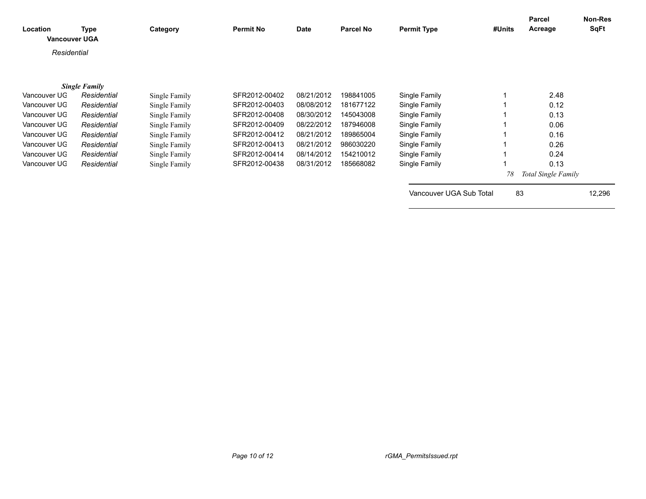| Location<br><b>Vancouver UGA</b> | Type                 | Category      | <b>Permit No</b> | Date       | <b>Parcel No</b> | <b>Permit Type</b>      | #Units | <b>Parcel</b><br>Acreage | Non-Res<br><b>SqFt</b> |
|----------------------------------|----------------------|---------------|------------------|------------|------------------|-------------------------|--------|--------------------------|------------------------|
| Residential                      |                      |               |                  |            |                  |                         |        |                          |                        |
|                                  | <b>Single Family</b> |               |                  |            |                  |                         |        |                          |                        |
| Vancouver UG                     | Residential          | Single Family | SFR2012-00402    | 08/21/2012 | 198841005        | Single Family           |        | 2.48                     |                        |
| Vancouver UG                     | Residential          | Single Family | SFR2012-00403    | 08/08/2012 | 181677122        | Single Family           |        | 0.12                     |                        |
| Vancouver UG                     | Residential          | Single Family | SFR2012-00408    | 08/30/2012 | 145043008        | Single Family           |        | 0.13                     |                        |
| Vancouver UG                     | Residential          | Single Family | SFR2012-00409    | 08/22/2012 | 187946008        | Single Family           |        | 0.06                     |                        |
| Vancouver UG                     | Residential          | Single Family | SFR2012-00412    | 08/21/2012 | 189865004        | Single Family           |        | 0.16                     |                        |
| Vancouver UG                     | Residential          | Single Family | SFR2012-00413    | 08/21/2012 | 986030220        | Single Family           |        | 0.26                     |                        |
| Vancouver UG                     | Residential          | Single Family | SFR2012-00414    | 08/14/2012 | 154210012        | Single Family           |        | 0.24                     |                        |
| Vancouver UG                     | Residential          | Single Family | SFR2012-00438    | 08/31/2012 | 185668082        | Single Family           |        | 0.13                     |                        |
|                                  |                      |               |                  |            |                  |                         | 78     | Total Single Family      |                        |
|                                  |                      |               |                  |            |                  | Vancouver UGA Sub Total | 83     |                          | 12,296                 |
|                                  |                      |               |                  |            |                  |                         |        |                          |                        |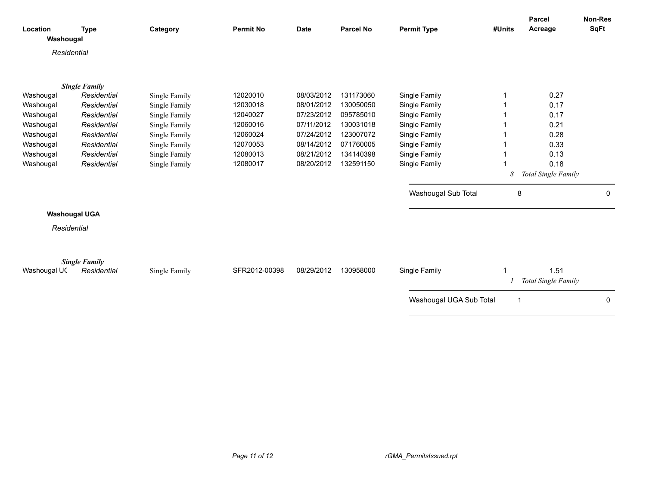|                       |                      |               |                  |             | <b>Parcel No</b> |                         |                | <b>Parcel</b>       | <b>Non-Res</b><br><b>SqFt</b> |
|-----------------------|----------------------|---------------|------------------|-------------|------------------|-------------------------|----------------|---------------------|-------------------------------|
| Location<br>Washougal | <b>Type</b>          | Category      | <b>Permit No</b> | <b>Date</b> |                  | <b>Permit Type</b>      | #Units         | Acreage             |                               |
|                       |                      |               |                  |             |                  |                         |                |                     |                               |
| Residential           |                      |               |                  |             |                  |                         |                |                     |                               |
|                       |                      |               |                  |             |                  |                         |                |                     |                               |
|                       | <b>Single Family</b> |               |                  |             |                  |                         |                |                     |                               |
| Washougal             | Residential          | Single Family | 12020010         | 08/03/2012  | 131173060        | Single Family           |                | 0.27                |                               |
| Washougal             | Residential          | Single Family | 12030018         | 08/01/2012  | 130050050        | Single Family           |                | 0.17                |                               |
| Washougal             | Residential          | Single Family | 12040027         | 07/23/2012  | 095785010        | Single Family           |                | 0.17                |                               |
| Washougal             | Residential          | Single Family | 12060016         | 07/11/2012  | 130031018        | Single Family           |                | 0.21                |                               |
| Washougal             | Residential          | Single Family | 12060024         | 07/24/2012  | 123007072        | Single Family           |                | 0.28                |                               |
| Washougal             | Residential          | Single Family | 12070053         | 08/14/2012  | 071760005        | Single Family           |                | 0.33                |                               |
| Washougal             | Residential          | Single Family | 12080013         | 08/21/2012  | 134140398        | Single Family           |                | 0.13                |                               |
| Washougal             | Residential          | Single Family | 12080017         | 08/20/2012  | 132591150        | Single Family           |                | 0.18                |                               |
|                       |                      |               |                  |             |                  |                         | 8              | Total Single Family |                               |
|                       |                      |               |                  |             |                  | Washougal Sub Total     | 8              |                     | 0                             |
|                       | <b>Washougal UGA</b> |               |                  |             |                  |                         |                |                     |                               |
| Residential           |                      |               |                  |             |                  |                         |                |                     |                               |
|                       |                      |               |                  |             |                  |                         |                |                     |                               |
|                       |                      |               |                  |             |                  |                         |                |                     |                               |
|                       | <b>Single Family</b> |               |                  |             |                  |                         |                |                     |                               |
| Washougal UC          | Residential          | Single Family | SFR2012-00398    | 08/29/2012  | 130958000        | Single Family           |                | 1.51                |                               |
|                       |                      |               |                  |             |                  |                         |                | Total Single Family |                               |
|                       |                      |               |                  |             |                  | Washougal UGA Sub Total | $\overline{1}$ |                     | 0                             |
|                       |                      |               |                  |             |                  |                         |                |                     |                               |